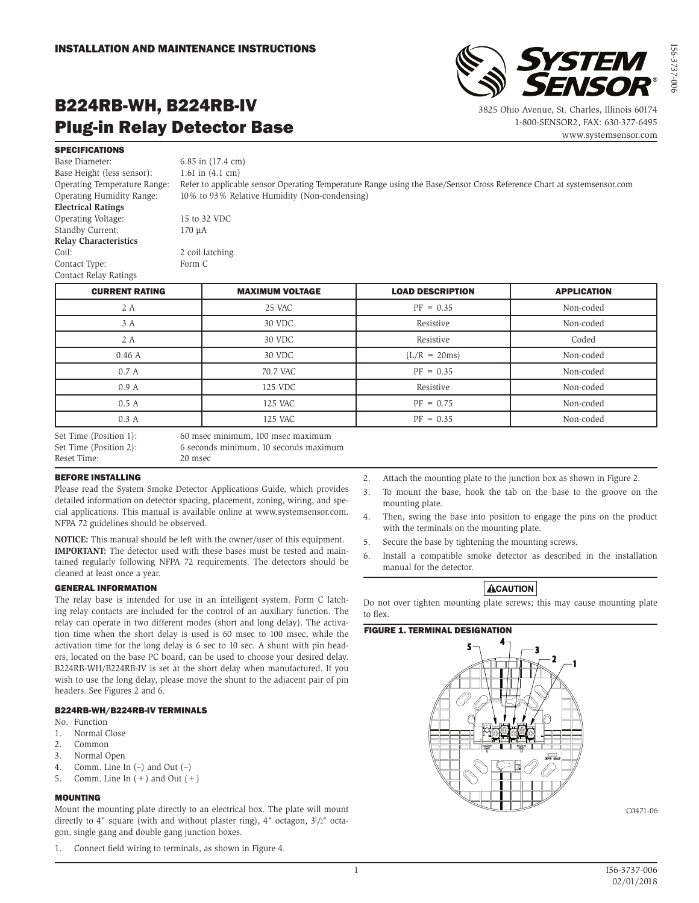

3825 Ohio Avenue, St. Charles, Illinois 60174 1-800-SENSOR2, FAX: 630-377-6495

www.systemsensor.com

I56-3737-006

56-3737-00

# B224RB-WH, B224RB-IV Plug-in Relay Detector Base

**SPECIFICATIONS** 

Base Diameter: 6.85 in (17.4 cm) Base Height (less sensor): 1.61 in (4.1 cm) **Electrical Ratings** Operating Voltage: 15 to 32 VDC Standby Current: 170 µA **Relay Characteristics** Coil: 2 coil latching Contact Type: Form C

Contact Relay Ratings

Operating Temperature Range: Refer to applicable sensor Operating Temperature Range using the Base/Sensor Cross Reference Chart at systemsensor.com Operating Humidity Range: 10% to 93% Relative Humidity (Non-condensing)

| <b>CURRENT RATING</b>  | <b>MAXIMUM VOLTAGE</b>            | <b>LOAD DESCRIPTION</b> | <b>APPLICATION</b> |
|------------------------|-----------------------------------|-------------------------|--------------------|
| 2 A                    | 25 VAC                            | $PF = 0.35$             | Non-coded          |
| 3 A                    | 30 VDC                            | Resistive               | Non-coded          |
| 2 A                    | 30 VDC                            | Resistive               | Coded              |
| 0.46A                  | 30 VDC                            | $(L/R = 20ms)$          | Non-coded          |
| 0.7A                   | 70.7 VAC                          | $PF = 0.35$             | Non-coded          |
| 0.9A                   | 125 VDC                           | Resistive               | Non-coded          |
| 0.5A                   | 125 VAC                           | $PF = 0.75$             | Non-coded          |
| 0.3A                   | 125 VAC                           | $PF = 0.35$             | Non-coded          |
| Set Time (Position 1): | 60 msec minimum, 100 msec maximum |                         |                    |

Reset Time: 20 msec

Set Time (Position 2): 6 seconds minimum, 10 seconds maximum

#### BEFORE INSTALLING

Please read the System Smoke Detector Applications Guide, which provides detailed information on detector spacing, placement, zoning, wiring, and special applications. This manual is available online at www.systemsensor.com. NFPA 72 guidelines should be observed.

**NOTICE:** This manual should be left with the owner/user of this equipment. **IMPORTANT:** The detector used with these bases must be tested and maintained regularly following NFPA 72 requirements. The detectors should be cleaned at least once a year.

#### GENERAL INFORMATION

The relay base is intended for use in an intelligent system. Form C latching relay contacts are included for the control of an auxiliary function. The relay can operate in two different modes (short and long delay). The activation time when the short delay is used is 60 msec to 100 msec, while the activation time for the long delay is 6 sec to 10 sec. A shunt with pin headers, located on the base PC board, can be used to choose your desired delay. B224RB-WH/B224RB-IV is set at the short delay when manufactured. If you wish to use the long delay, please move the shunt to the adjacent pair of pin headers. See Figures 2 and 6.

#### B224RB-WH/B224RB-IV TERMINALS

- No. Function
- 1. Normal Close
- 2. Common
- 3. Normal Open
- 4. Comm. Line In (–) and Out (–)
- 5. Comm. Line In  $(+)$  and Out  $(+)$

#### MOUNTING

Mount the mounting plate directly to an electrical box. The plate will mount directly to 4" square (with and without plaster ring), 4" octagon,  $3<sup>1</sup>/2$ " octagon, single gang and double gang junction boxes.

1. Connect field wiring to terminals, as shown in Figure 4.

- 2. Attach the mounting plate to the junction box as shown in Figure 2.
- 3. To mount the base, hook the tab on the base to the groove on the mounting plate.
- 4. Then, swing the base into position to engage the pins on the product with the terminals on the mounting plate.
- 5. Secure the base by tightening the mounting screws.
- 6. Install a compatible smoke detector as described in the installation manual for the detector.

### **ACAUTION**

Do not over tighten mounting plate screws; this may cause mounting plate to flex.

#### FIGURE 1. TERMINAL DESIGNATION



C0471-06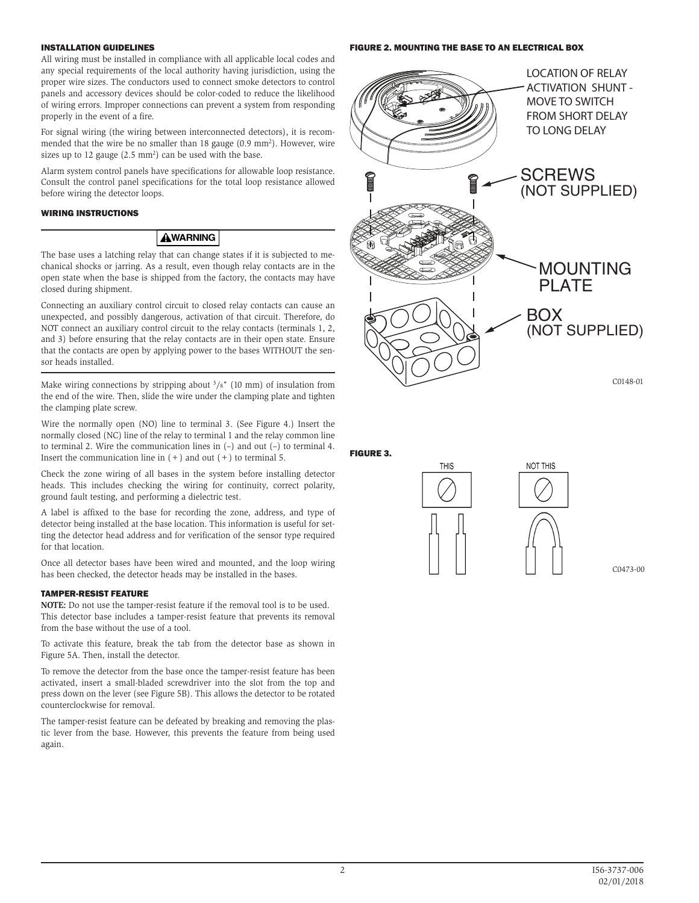#### INSTALLATION GUIDELINES

All wiring must be installed in compliance with all applicable local codes and any special requirements of the local authority having jurisdiction, using the proper wire sizes. The conductors used to connect smoke detectors to control panels and accessory devices should be color-coded to reduce the likelihood of wiring errors. Improper connections can prevent a system from responding properly in the event of a fire.

For signal wiring (the wiring between interconnected detectors), it is recommended that the wire be no smaller than 18 gauge (0.9 mm<sup>2</sup>). However, wire sizes up to 12 gauge (2.5 mm<sup>2</sup>) can be used with the base.

Alarm system control panels have specifications for allowable loop resistance. Consult the control panel specifications for the total loop resistance allowed before wiring the detector loops.

#### WIRING INSTRUCTIONS

#### **AWARNING**

The base uses a latching relay that can change states if it is subjected to mechanical shocks or jarring. As a result, even though relay contacts are in the open state when the base is shipped from the factory, the contacts may have closed during shipment.

Connecting an auxiliary control circuit to closed relay contacts can cause an unexpected, and possibly dangerous, activation of that circuit. Therefore, do NOT connect an auxiliary control circuit to the relay contacts (terminals 1, 2, and 3) before ensuring that the relay contacts are in their open state. Ensure that the contacts are open by applying power to the bases WITHOUT the sensor heads installed.

Make wiring connections by stripping about  $\frac{3}{8}$ " (10 mm) of insulation from the end of the wire. Then, slide the wire under the clamping plate and tighten the clamping plate screw.

Wire the normally open (NO) line to terminal 3. (See Figure 4.) Insert the normally closed (NC) line of the relay to terminal 1 and the relay common line to terminal 2. Wire the communication lines in (–) and out (–) to terminal 4. Insert the communication line in  $(+)$  and out  $(+)$  to terminal 5.

Check the zone wiring of all bases in the system before installing detector heads. This includes checking the wiring for continuity, correct polarity, ground fault testing, and performing a dielectric test.

A label is affixed to the base for recording the zone, address, and type of detector being installed at the base location. This information is useful for setting the detector head address and for verification of the sensor type required for that location.

Once all detector bases have been wired and mounted, and the loop wiring has been checked, the detector heads may be installed in the bases.

#### TAMPER-RESIST FEATURE

**NOTE:** Do not use the tamper-resist feature if the removal tool is to be used. This detector base includes a tamper-resist feature that prevents its removal from the base without the use of a tool.

To activate this feature, break the tab from the detector base as shown in Figure 5A. Then, install the detector.

To remove the detector from the base once the tamper-resist feature has been activated, insert a small-bladed screwdriver into the slot from the top and press down on the lever (see Figure 5B). This allows the detector to be rotated counterclockwise for removal.

The tamper-resist feature can be defeated by breaking and removing the plastic lever from the base. However, this prevents the feature from being used again.

#### FIGURE 2. MOUNTING THE BASE TO AN ELECTRICAL BOX



FIGURE 3.





C0473-00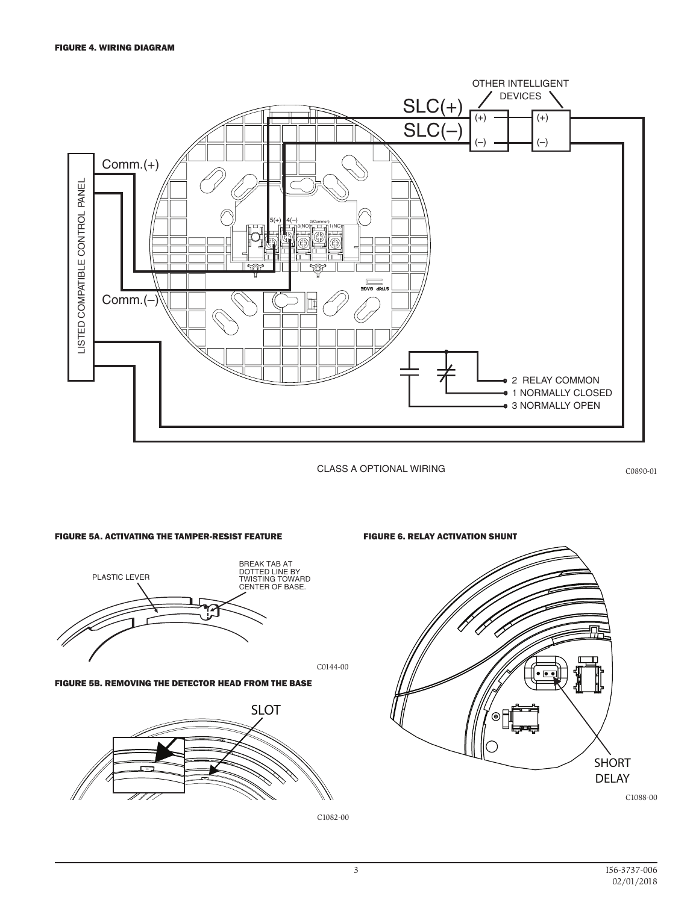

CLASS A OPTIONAL WIRING

C0890-01



FIGURE 5B. REMOVING THE DETECTOR HEAD FROM THE BASE



C1082-00

C0144-00

FIGURE 6. RELAY ACTIVATION SHUNT